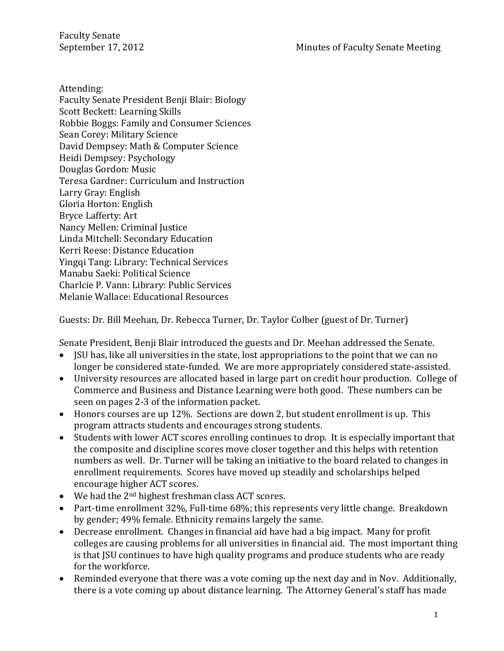Attending:

Faculty Senate President Benji Blair: Biology Scott Beckett: Learning Skills Robbie Boggs: Family and Consumer Sciences Sean Corey: Military Science David Dempsey: Math & Computer Science Heidi Dempsey: Psychology Douglas Gordon: Music Teresa Gardner: Curriculum and Instruction Larry Gray: English Gloria Horton: English Bryce Lafferty: Art Nancy Mellen: Criminal Justice Linda Mitchell: Secondary Education Kerri Reese: Distance Education Yingqi Tang: Library: Technical Services Manabu Saeki: Political Science Charlcie P. Vann: Library: Public Services Melanie Wallace: Educational Resources

Guests: Dr. Bill Meehan, Dr. Rebecca Turner, Dr. Taylor Colber (guest of Dr. Turner)

Senate President, Benji Blair introduced the guests and Dr. Meehan addressed the Senate.

- JSU has, like all universities in the state, lost appropriations to the point that we can no longer be considered state-funded. We are more appropriately considered state-assisted.
- University resources are allocated based in large part on credit hour production. College of Commerce and Business and Distance Learning were both good. These numbers can be seen on pages 2-3 of the information packet.
- Honors courses are up 12%. Sections are down 2, but student enrollment is up. This program attracts students and encourages strong students.
- Students with lower ACT scores enrolling continues to drop. It is especially important that the composite and discipline scores move closer together and this helps with retention numbers as well. Dr. Turner will be taking an initiative to the board related to changes in enrollment requirements. Scores have moved up steadily and scholarships helped encourage higher ACT scores.
- $\bullet$  We had the 2<sup>nd</sup> highest freshman class ACT scores.
- Part-time enrollment 32%, Full-time 68%; this represents very little change. Breakdown by gender; 49% female. Ethnicity remains largely the same.
- Decrease enrollment. Changes in financial aid have had a big impact. Many for profit colleges are causing problems for all universities in financial aid. The most important thing is that JSU continues to have high quality programs and produce students who are ready for the workforce.
- Reminded everyone that there was a vote coming up the next day and in Nov. Additionally, there is a vote coming up about distance learning. The Attorney General's staff has made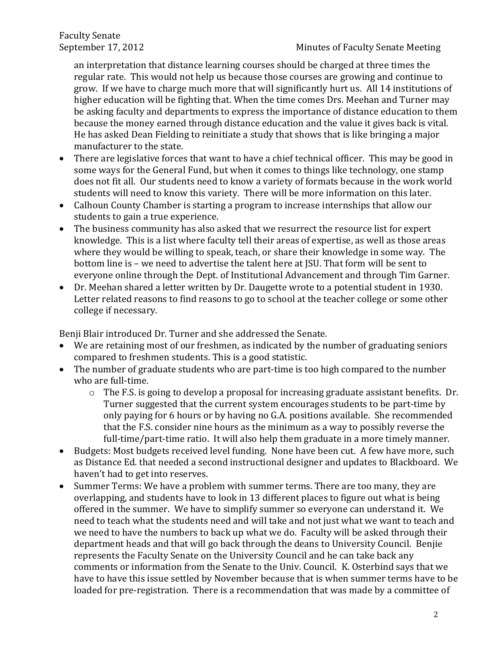an interpretation that distance learning courses should be charged at three times the regular rate. This would not help us because those courses are growing and continue to grow. If we have to charge much more that will significantly hurt us. All 14 institutions of higher education will be fighting that. When the time comes Drs. Meehan and Turner may be asking faculty and departments to express the importance of distance education to them because the money earned through distance education and the value it gives back is vital. He has asked Dean Fielding to reinitiate a study that shows that is like bringing a major manufacturer to the state.

- There are legislative forces that want to have a chief technical officer. This may be good in some ways for the General Fund, but when it comes to things like technology, one stamp does not fit all. Our students need to know a variety of formats because in the work world students will need to know this variety. There will be more information on this later.
- Calhoun County Chamber is starting a program to increase internships that allow our students to gain a true experience.
- The business community has also asked that we resurrect the resource list for expert knowledge. This is a list where faculty tell their areas of expertise, as well as those areas where they would be willing to speak, teach, or share their knowledge in some way. The bottom line is – we need to advertise the talent here at JSU. That form will be sent to everyone online through the Dept. of Institutional Advancement and through Tim Garner.
- Dr. Meehan shared a letter written by Dr. Daugette wrote to a potential student in 1930. Letter related reasons to find reasons to go to school at the teacher college or some other college if necessary.

Benji Blair introduced Dr. Turner and she addressed the Senate.

- We are retaining most of our freshmen, as indicated by the number of graduating seniors compared to freshmen students. This is a good statistic.
- The number of graduate students who are part-time is too high compared to the number who are full-time.
	- o The F.S. is going to develop a proposal for increasing graduate assistant benefits. Dr. Turner suggested that the current system encourages students to be part-time by only paying for 6 hours or by having no G.A. positions available. She recommended that the F.S. consider nine hours as the minimum as a way to possibly reverse the full-time/part-time ratio. It will also help them graduate in a more timely manner.
- Budgets: Most budgets received level funding. None have been cut. A few have more, such as Distance Ed. that needed a second instructional designer and updates to Blackboard. We haven't had to get into reserves.
- Summer Terms: We have a problem with summer terms. There are too many, they are overlapping, and students have to look in 13 different places to figure out what is being offered in the summer. We have to simplify summer so everyone can understand it. We need to teach what the students need and will take and not just what we want to teach and we need to have the numbers to back up what we do. Faculty will be asked through their department heads and that will go back through the deans to University Council. Benjie represents the Faculty Senate on the University Council and he can take back any comments or information from the Senate to the Univ. Council. K. Osterbind says that we have to have this issue settled by November because that is when summer terms have to be loaded for pre-registration. There is a recommendation that was made by a committee of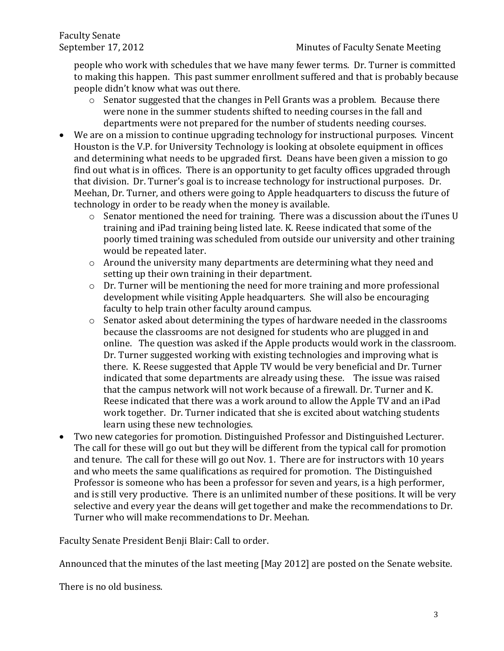people who work with schedules that we have many fewer terms. Dr. Turner is committed to making this happen. This past summer enrollment suffered and that is probably because people didn't know what was out there.

- o Senator suggested that the changes in Pell Grants was a problem. Because there were none in the summer students shifted to needing courses in the fall and departments were not prepared for the number of students needing courses.
- We are on a mission to continue upgrading technology for instructional purposes. Vincent Houston is the V.P. for University Technology is looking at obsolete equipment in offices and determining what needs to be upgraded first. Deans have been given a mission to go find out what is in offices. There is an opportunity to get faculty offices upgraded through that division. Dr. Turner's goal is to increase technology for instructional purposes. Dr. Meehan, Dr. Turner, and others were going to Apple headquarters to discuss the future of technology in order to be ready when the money is available.
	- o Senator mentioned the need for training. There was a discussion about the iTunes U training and iPad training being listed late. K. Reese indicated that some of the poorly timed training was scheduled from outside our university and other training would be repeated later.
	- o Around the university many departments are determining what they need and setting up their own training in their department.
	- o Dr. Turner will be mentioning the need for more training and more professional development while visiting Apple headquarters. She will also be encouraging faculty to help train other faculty around campus.
	- o Senator asked about determining the types of hardware needed in the classrooms because the classrooms are not designed for students who are plugged in and online. The question was asked if the Apple products would work in the classroom. Dr. Turner suggested working with existing technologies and improving what is there. K. Reese suggested that Apple TV would be very beneficial and Dr. Turner indicated that some departments are already using these. The issue was raised that the campus network will not work because of a firewall. Dr. Turner and K. Reese indicated that there was a work around to allow the Apple TV and an iPad work together. Dr. Turner indicated that she is excited about watching students learn using these new technologies.
- Two new categories for promotion. Distinguished Professor and Distinguished Lecturer. The call for these will go out but they will be different from the typical call for promotion and tenure. The call for these will go out Nov. 1. There are for instructors with 10 years and who meets the same qualifications as required for promotion. The Distinguished Professor is someone who has been a professor for seven and years, is a high performer, and is still very productive. There is an unlimited number of these positions. It will be very selective and every year the deans will get together and make the recommendations to Dr. Turner who will make recommendations to Dr. Meehan.

Faculty Senate President Benji Blair: Call to order.

Announced that the minutes of the last meeting [May 2012] are posted on the Senate website.

There is no old business.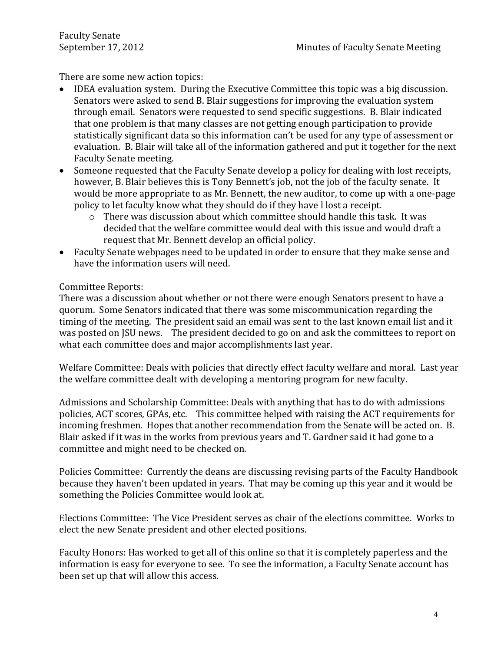There are some new action topics:

- IDEA evaluation system. During the Executive Committee this topic was a big discussion. Senators were asked to send B. Blair suggestions for improving the evaluation system through email. Senators were requested to send specific suggestions. B. Blair indicated that one problem is that many classes are not getting enough participation to provide statistically significant data so this information can't be used for any type of assessment or evaluation. B. Blair will take all of the information gathered and put it together for the next Faculty Senate meeting.
- Someone requested that the Faculty Senate develop a policy for dealing with lost receipts, however, B. Blair believes this is Tony Bennett's job, not the job of the faculty senate. It would be more appropriate to as Mr. Bennett, the new auditor, to come up with a one-page policy to let faculty know what they should do if they have l lost a receipt.
	- o There was discussion about which committee should handle this task. It was decided that the welfare committee would deal with this issue and would draft a request that Mr. Bennett develop an official policy.
- Faculty Senate webpages need to be updated in order to ensure that they make sense and have the information users will need.

# Committee Reports:

There was a discussion about whether or not there were enough Senators present to have a quorum. Some Senators indicated that there was some miscommunication regarding the timing of the meeting. The president said an email was sent to the last known email list and it was posted on JSU news. The president decided to go on and ask the committees to report on what each committee does and major accomplishments last year.

Welfare Committee: Deals with policies that directly effect faculty welfare and moral. Last year the welfare committee dealt with developing a mentoring program for new faculty.

Admissions and Scholarship Committee: Deals with anything that has to do with admissions policies, ACT scores, GPAs, etc. This committee helped with raising the ACT requirements for incoming freshmen. Hopes that another recommendation from the Senate will be acted on. B. Blair asked if it was in the works from previous years and T. Gardner said it had gone to a committee and might need to be checked on.

Policies Committee: Currently the deans are discussing revising parts of the Faculty Handbook because they haven't been updated in years. That may be coming up this year and it would be something the Policies Committee would look at.

Elections Committee: The Vice President serves as chair of the elections committee. Works to elect the new Senate president and other elected positions.

Faculty Honors: Has worked to get all of this online so that it is completely paperless and the information is easy for everyone to see. To see the information, a Faculty Senate account has been set up that will allow this access.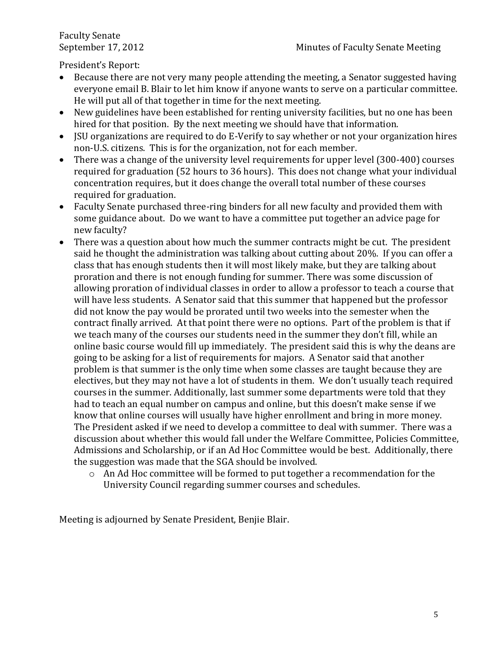President's Report:

- Because there are not very many people attending the meeting, a Senator suggested having everyone email B. Blair to let him know if anyone wants to serve on a particular committee. He will put all of that together in time for the next meeting.
- New guidelines have been established for renting university facilities, but no one has been hired for that position. By the next meeting we should have that information.
- JSU organizations are required to do E-Verify to say whether or not your organization hires non-U.S. citizens. This is for the organization, not for each member.
- There was a change of the university level requirements for upper level (300-400) courses required for graduation (52 hours to 36 hours). This does not change what your individual concentration requires, but it does change the overall total number of these courses required for graduation.
- Faculty Senate purchased three-ring binders for all new faculty and provided them with some guidance about. Do we want to have a committee put together an advice page for new faculty?
- There was a question about how much the summer contracts might be cut. The president said he thought the administration was talking about cutting about 20%. If you can offer a class that has enough students then it will most likely make, but they are talking about proration and there is not enough funding for summer. There was some discussion of allowing proration of individual classes in order to allow a professor to teach a course that will have less students. A Senator said that this summer that happened but the professor did not know the pay would be prorated until two weeks into the semester when the contract finally arrived. At that point there were no options. Part of the problem is that if we teach many of the courses our students need in the summer they don't fill, while an online basic course would fill up immediately. The president said this is why the deans are going to be asking for a list of requirements for majors. A Senator said that another problem is that summer is the only time when some classes are taught because they are electives, but they may not have a lot of students in them. We don't usually teach required courses in the summer. Additionally, last summer some departments were told that they had to teach an equal number on campus and online, but this doesn't make sense if we know that online courses will usually have higher enrollment and bring in more money. The President asked if we need to develop a committee to deal with summer. There was a discussion about whether this would fall under the Welfare Committee, Policies Committee, Admissions and Scholarship, or if an Ad Hoc Committee would be best. Additionally, there the suggestion was made that the SGA should be involved.
	- o An Ad Hoc committee will be formed to put together a recommendation for the University Council regarding summer courses and schedules.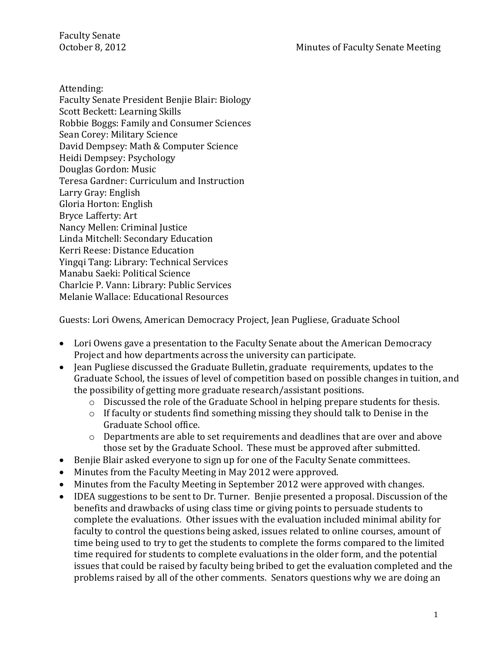Attending:

Faculty Senate President Benjie Blair: Biology Scott Beckett: Learning Skills Robbie Boggs: Family and Consumer Sciences Sean Corey: Military Science David Dempsey: Math & Computer Science Heidi Dempsey: Psychology Douglas Gordon: Music Teresa Gardner: Curriculum and Instruction Larry Gray: English Gloria Horton: English Bryce Lafferty: Art Nancy Mellen: Criminal Justice Linda Mitchell: Secondary Education Kerri Reese: Distance Education Yingqi Tang: Library: Technical Services Manabu Saeki: Political Science Charlcie P. Vann: Library: Public Services Melanie Wallace: Educational Resources

Guests: Lori Owens, American Democracy Project, Jean Pugliese, Graduate School

- Lori Owens gave a presentation to the Faculty Senate about the American Democracy Project and how departments across the university can participate.
- Jean Pugliese discussed the Graduate Bulletin, graduate requirements, updates to the Graduate School, the issues of level of competition based on possible changes in tuition, and the possibility of getting more graduate research/assistant positions.
	- o Discussed the role of the Graduate School in helping prepare students for thesis.
	- o If faculty or students find something missing they should talk to Denise in the Graduate School office.
	- o Departments are able to set requirements and deadlines that are over and above those set by the Graduate School. These must be approved after submitted.
- Benjie Blair asked everyone to sign up for one of the Faculty Senate committees.
- Minutes from the Faculty Meeting in May 2012 were approved.
- Minutes from the Faculty Meeting in September 2012 were approved with changes.
- IDEA suggestions to be sent to Dr. Turner. Benjie presented a proposal. Discussion of the benefits and drawbacks of using class time or giving points to persuade students to complete the evaluations. Other issues with the evaluation included minimal ability for faculty to control the questions being asked, issues related to online courses, amount of time being used to try to get the students to complete the forms compared to the limited time required for students to complete evaluations in the older form, and the potential issues that could be raised by faculty being bribed to get the evaluation completed and the problems raised by all of the other comments. Senators questions why we are doing an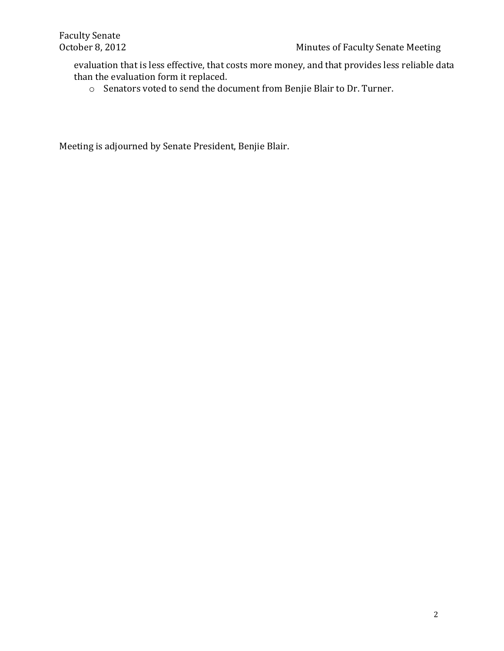evaluation that is less effective, that costs more money, and that provides less reliable data than the evaluation form it replaced.

o Senators voted to send the document from Benjie Blair to Dr. Turner.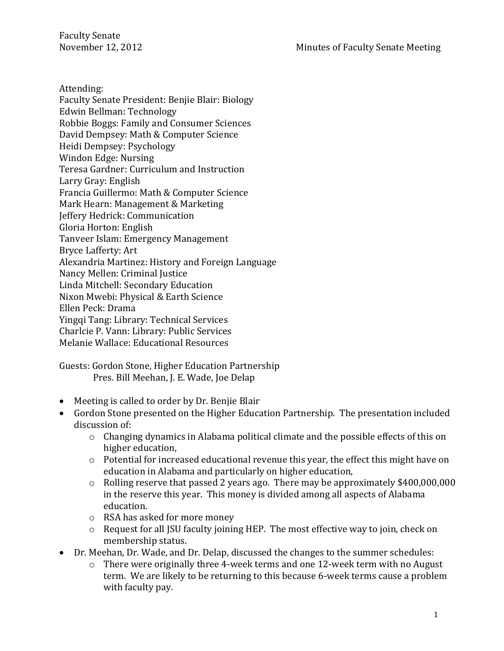Attending:

Faculty Senate President: Benjie Blair: Biology Edwin Bellman: Technology Robbie Boggs: Family and Consumer Sciences David Dempsey: Math & Computer Science Heidi Dempsey: Psychology Windon Edge: Nursing Teresa Gardner: Curriculum and Instruction Larry Gray: English Francia Guillermo: Math & Computer Science Mark Hearn: Management & Marketing Jeffery Hedrick: Communication Gloria Horton: English Tanveer Islam: Emergency Management Bryce Lafferty: Art Alexandria Martinez: History and Foreign Language Nancy Mellen: Criminal Justice Linda Mitchell: Secondary Education Nixon Mwebi: Physical & Earth Science Ellen Peck: Drama Yingqi Tang: Library: Technical Services Charlcie P. Vann: Library: Public Services Melanie Wallace: Educational Resources

Guests: Gordon Stone, Higher Education Partnership Pres. Bill Meehan, J. E. Wade, Joe Delap

- Meeting is called to order by Dr. Benjie Blair
- Gordon Stone presented on the Higher Education Partnership. The presentation included discussion of:
	- o Changing dynamics in Alabama political climate and the possible effects of this on higher education,
	- o Potential for increased educational revenue this year, the effect this might have on education in Alabama and particularly on higher education,
	- o Rolling reserve that passed 2 years ago. There may be approximately \$400,000,000 in the reserve this year. This money is divided among all aspects of Alabama education.
	- o RSA has asked for more money
	- o Request for all JSU faculty joining HEP. The most effective way to join, check on membership status.
- Dr. Meehan, Dr. Wade, and Dr. Delap, discussed the changes to the summer schedules:
	- There were originally three 4-week terms and one 12-week term with no August term. We are likely to be returning to this because 6-week terms cause a problem with faculty pay.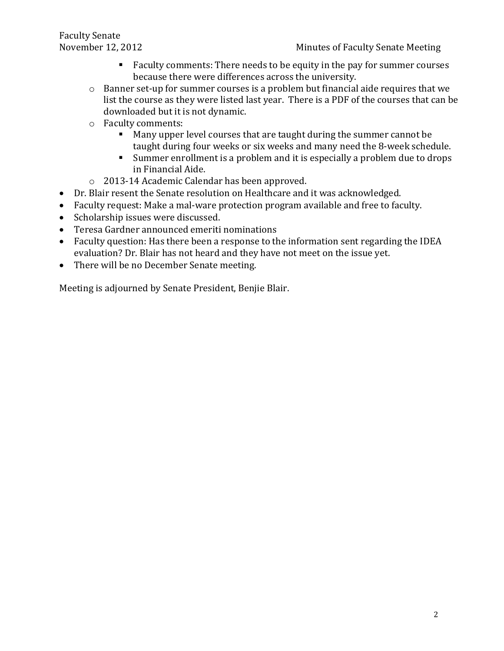- Faculty comments: There needs to be equity in the pay for summer courses because there were differences across the university.
- o Banner set-up for summer courses is a problem but financial aide requires that we list the course as they were listed last year. There is a PDF of the courses that can be downloaded but it is not dynamic.
- o Faculty comments:
	- Many upper level courses that are taught during the summer cannot be taught during four weeks or six weeks and many need the 8-week schedule.
	- Summer enrollment is a problem and it is especially a problem due to drops in Financial Aide.
- o 2013-14 Academic Calendar has been approved.
- Dr. Blair resent the Senate resolution on Healthcare and it was acknowledged.
- Faculty request: Make a mal-ware protection program available and free to faculty.
- Scholarship issues were discussed.
- Teresa Gardner announced emeriti nominations
- Faculty question: Has there been a response to the information sent regarding the IDEA evaluation? Dr. Blair has not heard and they have not meet on the issue yet.
- There will be no December Senate meeting.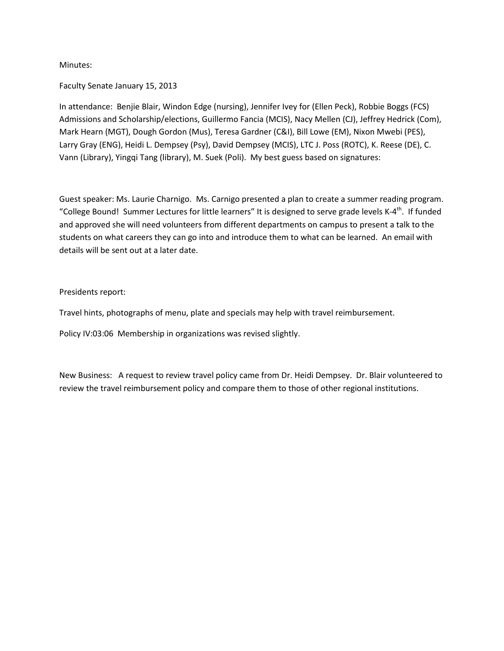Minutes:

#### Faculty Senate January 15, 2013

In attendance: Benjie Blair, Windon Edge (nursing), Jennifer Ivey for (Ellen Peck), Robbie Boggs (FCS) Admissions and Scholarship/elections, Guillermo Fancia (MCIS), Nacy Mellen (CJ), Jeffrey Hedrick (Com), Mark Hearn (MGT), Dough Gordon (Mus), Teresa Gardner (C&I), Bill Lowe (EM), Nixon Mwebi (PES), Larry Gray (ENG), Heidi L. Dempsey (Psy), David Dempsey (MCIS), LTC J. Poss (ROTC), K. Reese (DE), C. Vann (Library), Yingqi Tang (library), M. Suek (Poli). My best guess based on signatures:

Guest speaker: Ms. Laurie Charnigo. Ms. Carnigo presented a plan to create a summer reading program. "College Bound! Summer Lectures for little learners" It is designed to serve grade levels K-4<sup>th</sup>. If funded and approved she will need volunteers from different departments on campus to present a talk to the students on what careers they can go into and introduce them to what can be learned. An email with details will be sent out at a later date.

Presidents report:

Travel hints, photographs of menu, plate and specials may help with travel reimbursement.

Policy IV:03:06 Membership in organizations was revised slightly.

New Business: A request to review travel policy came from Dr. Heidi Dempsey. Dr. Blair volunteered to review the travel reimbursement policy and compare them to those of other regional institutions.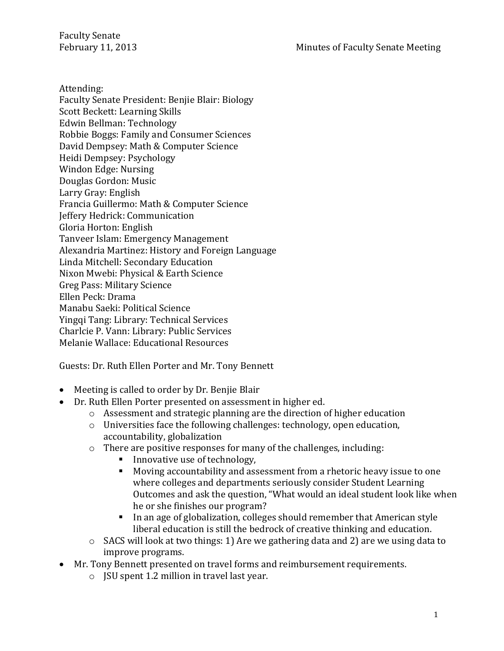Attending:

Faculty Senate President: Benjie Blair: Biology Scott Beckett: Learning Skills Edwin Bellman: Technology Robbie Boggs: Family and Consumer Sciences David Dempsey: Math & Computer Science Heidi Dempsey: Psychology Windon Edge: Nursing Douglas Gordon: Music Larry Gray: English Francia Guillermo: Math & Computer Science Jeffery Hedrick: Communication Gloria Horton: English Tanveer Islam: Emergency Management Alexandria Martinez: History and Foreign Language Linda Mitchell: Secondary Education Nixon Mwebi: Physical & Earth Science Greg Pass: Military Science Ellen Peck: Drama Manabu Saeki: Political Science Yingqi Tang: Library: Technical Services Charlcie P. Vann: Library: Public Services Melanie Wallace: Educational Resources

Guests: Dr. Ruth Ellen Porter and Mr. Tony Bennett

- Meeting is called to order by Dr. Benjie Blair
- Dr. Ruth Ellen Porter presented on assessment in higher ed.
	- $\circ$  Assessment and strategic planning are the direction of higher education
	- o Universities face the following challenges: technology, open education, accountability, globalization
	- o There are positive responses for many of the challenges, including:
		- Innovative use of technology,
		- Moving accountability and assessment from a rhetoric heavy issue to one where colleges and departments seriously consider Student Learning Outcomes and ask the question, "What would an ideal student look like when he or she finishes our program?
		- In an age of globalization, colleges should remember that American style liberal education is still the bedrock of creative thinking and education.
	- o SACS will look at two things: 1) Are we gathering data and 2) are we using data to improve programs.
- Mr. Tony Bennett presented on travel forms and reimbursement requirements.
	- o JSU spent 1.2 million in travel last year.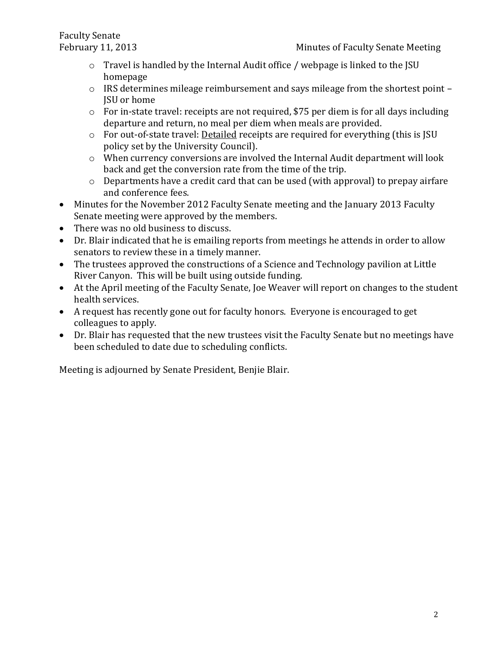- o Travel is handled by the Internal Audit office / webpage is linked to the JSU homepage
- o IRS determines mileage reimbursement and says mileage from the shortest point JSU or home
- o For in-state travel: receipts are not required, \$75 per diem is for all days including departure and return, no meal per diem when meals are provided.
- o For out-of-state travel: Detailed receipts are required for everything (this is JSU policy set by the University Council).
- o When currency conversions are involved the Internal Audit department will look back and get the conversion rate from the time of the trip.
- o Departments have a credit card that can be used (with approval) to prepay airfare and conference fees.
- Minutes for the November 2012 Faculty Senate meeting and the January 2013 Faculty Senate meeting were approved by the members.
- There was no old business to discuss.
- Dr. Blair indicated that he is emailing reports from meetings he attends in order to allow senators to review these in a timely manner.
- The trustees approved the constructions of a Science and Technology pavilion at Little River Canyon. This will be built using outside funding.
- At the April meeting of the Faculty Senate, Joe Weaver will report on changes to the student health services.
- A request has recently gone out for faculty honors. Everyone is encouraged to get colleagues to apply.
- Dr. Blair has requested that the new trustees visit the Faculty Senate but no meetings have been scheduled to date due to scheduling conflicts.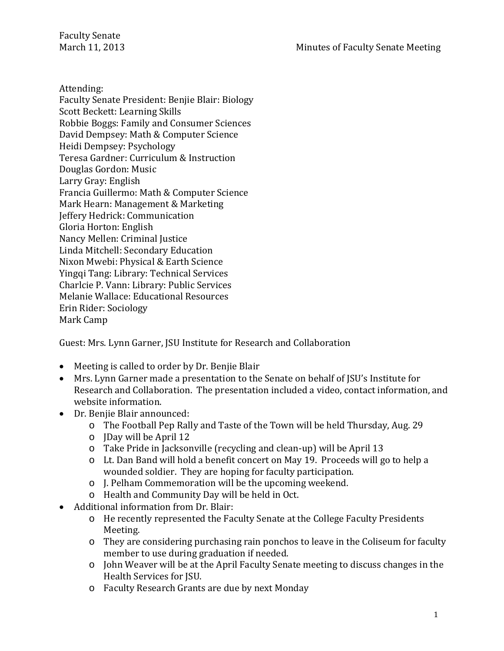Faculty Senate<br>March 11, 2013

Attending:

Faculty Senate President: Benjie Blair: Biology Scott Beckett: Learning Skills Robbie Boggs: Family and Consumer Sciences David Dempsey: Math & Computer Science Heidi Dempsey: Psychology Teresa Gardner: Curriculum & Instruction Douglas Gordon: Music Larry Gray: English Francia Guillermo: Math & Computer Science Mark Hearn: Management & Marketing Jeffery Hedrick: Communication Gloria Horton: English Nancy Mellen: Criminal Justice Linda Mitchell: Secondary Education Nixon Mwebi: Physical & Earth Science Yingqi Tang: Library: Technical Services Charlcie P. Vann: Library: Public Services Melanie Wallace: Educational Resources Erin Rider: Sociology Mark Camp

Guest: Mrs. Lynn Garner, JSU Institute for Research and Collaboration

- Meeting is called to order by Dr. Benjie Blair
- Mrs. Lynn Garner made a presentation to the Senate on behalf of JSU's Institute for Research and Collaboration. The presentation included a video, contact information, and website information.
- Dr. Benjie Blair announced:
	- o The Football Pep Rally and Taste of the Town will be held Thursday, Aug. 29
	- o JDay will be April 12
	- o Take Pride in Jacksonville (recycling and clean-up) will be April 13
	- o Lt. Dan Band will hold a benefit concert on May 19. Proceeds will go to help a wounded soldier. They are hoping for faculty participation.
	- o J. Pelham Commemoration will be the upcoming weekend.
	- o Health and Community Day will be held in Oct.
- Additional information from Dr. Blair:
	- o He recently represented the Faculty Senate at the College Faculty Presidents Meeting.
	- o They are considering purchasing rain ponchos to leave in the Coliseum for faculty member to use during graduation if needed.
	- o John Weaver will be at the April Faculty Senate meeting to discuss changes in the Health Services for JSU.
	- o Faculty Research Grants are due by next Monday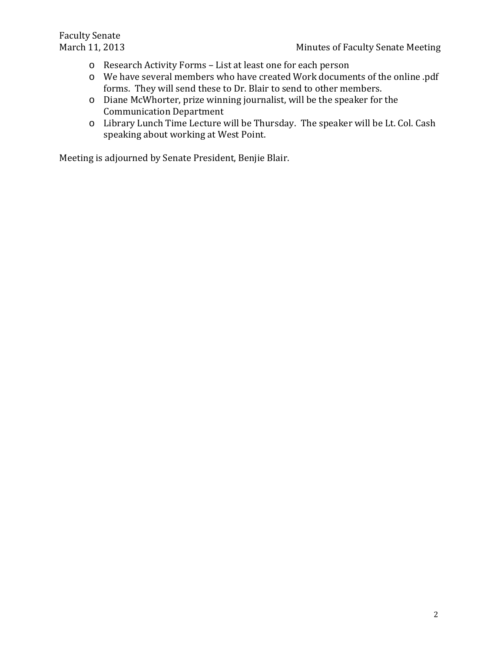- o Research Activity Forms List at least one for each person
- o We have several members who have created Work documents of the online .pdf forms. They will send these to Dr. Blair to send to other members.
- o Diane McWhorter, prize winning journalist, will be the speaker for the Communication Department
- o Library Lunch Time Lecture will be Thursday. The speaker will be Lt. Col. Cash speaking about working at West Point.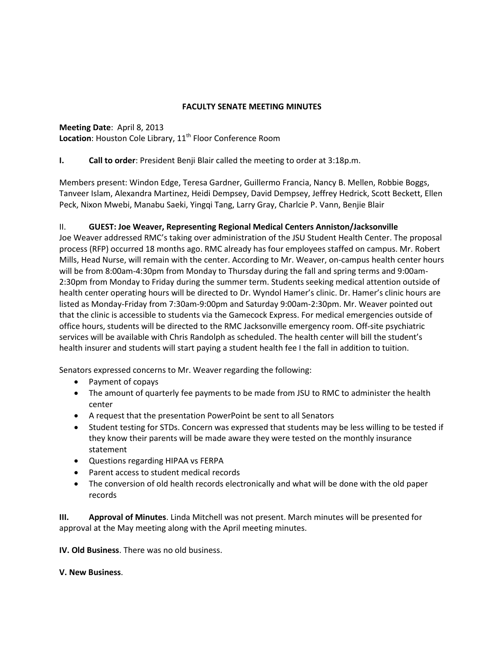## **FACULTY SENATE MEETING MINUTES**

## **Meeting Date**: April 8, 2013 **Location:** Houston Cole Library, 11<sup>th</sup> Floor Conference Room

# **I. Call to order**: President Benji Blair called the meeting to order at 3:18p.m.

Members present: Windon Edge, Teresa Gardner, Guillermo Francia, Nancy B. Mellen, Robbie Boggs, Tanveer Islam, Alexandra Martinez, Heidi Dempsey, David Dempsey, Jeffrey Hedrick, Scott Beckett, Ellen Peck, Nixon Mwebi, Manabu Saeki, Yingqi Tang, Larry Gray, Charlcie P. Vann, Benjie Blair

# II. **GUEST: Joe Weaver, Representing Regional Medical Centers Anniston/Jacksonville**

Joe Weaver addressed RMC's taking over administration of the JSU Student Health Center. The proposal process (RFP) occurred 18 months ago. RMC already has four employees staffed on campus. Mr. Robert Mills, Head Nurse, will remain with the center. According to Mr. Weaver, on-campus health center hours will be from 8:00am-4:30pm from Monday to Thursday during the fall and spring terms and 9:00am-2:30pm from Monday to Friday during the summer term. Students seeking medical attention outside of health center operating hours will be directed to Dr. Wyndol Hamer's clinic. Dr. Hamer's clinic hours are listed as Monday-Friday from 7:30am-9:00pm and Saturday 9:00am-2:30pm. Mr. Weaver pointed out that the clinic is accessible to students via the Gamecock Express. For medical emergencies outside of office hours, students will be directed to the RMC Jacksonville emergency room. Off-site psychiatric services will be available with Chris Randolph as scheduled. The health center will bill the student's health insurer and students will start paying a student health fee I the fall in addition to tuition.

Senators expressed concerns to Mr. Weaver regarding the following:

- Payment of copays
- The amount of quarterly fee payments to be made from JSU to RMC to administer the health center
- A request that the presentation PowerPoint be sent to all Senators
- Student testing for STDs. Concern was expressed that students may be less willing to be tested if they know their parents will be made aware they were tested on the monthly insurance statement
- Questions regarding HIPAA vs FERPA
- Parent access to student medical records
- The conversion of old health records electronically and what will be done with the old paper records

**III. Approval of Minutes**. Linda Mitchell was not present. March minutes will be presented for approval at the May meeting along with the April meeting minutes.

**IV. Old Business**. There was no old business.

#### **V. New Business**.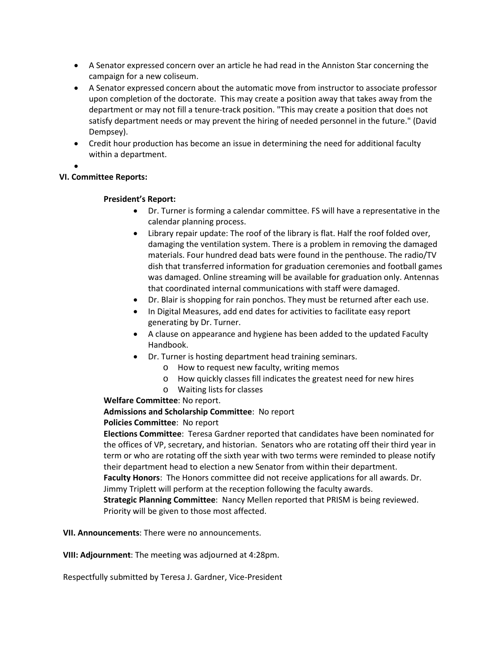- A Senator expressed concern over an article he had read in the Anniston Star concerning the campaign for a new coliseum.
- A Senator expressed concern about the automatic move from instructor to associate professor upon completion of the doctorate. This may create a position away that takes away from the department or may not fill a tenure-track position. "This may create a position that does not satisfy department needs or may prevent the hiring of needed personnel in the future." (David Dempsey).
- Credit hour production has become an issue in determining the need for additional faculty within a department.
- •

#### **VI. Committee Reports:**

## **President's Report:**

- Dr. Turner is forming a calendar committee. FS will have a representative in the calendar planning process.
- Library repair update: The roof of the library is flat. Half the roof folded over, damaging the ventilation system. There is a problem in removing the damaged materials. Four hundred dead bats were found in the penthouse. The radio/TV dish that transferred information for graduation ceremonies and football games was damaged. Online streaming will be available for graduation only. Antennas that coordinated internal communications with staff were damaged.
- Dr. Blair is shopping for rain ponchos. They must be returned after each use.
- In Digital Measures, add end dates for activities to facilitate easy report generating by Dr. Turner.
- A clause on appearance and hygiene has been added to the updated Faculty Handbook.
- Dr. Turner is hosting department head training seminars.
	- o How to request new faculty, writing memos
	- o How quickly classes fill indicates the greatest need for new hires
	- o Waiting lists for classes

#### **Welfare Committee**: No report.

#### **Admissions and Scholarship Committee**: No report

#### **Policies Committee**: No report

**Elections Committee**: Teresa Gardner reported that candidates have been nominated for the offices of VP, secretary, and historian. Senators who are rotating off their third year in term or who are rotating off the sixth year with two terms were reminded to please notify their department head to election a new Senator from within their department.

**Faculty Honors**: The Honors committee did not receive applications for all awards. Dr. Jimmy Triplett will perform at the reception following the faculty awards.

**Strategic Planning Committee**: Nancy Mellen reported that PRISM is being reviewed. Priority will be given to those most affected.

**VII. Announcements**: There were no announcements.

**VIII: Adjournment**: The meeting was adjourned at 4:28pm.

Respectfully submitted by Teresa J. Gardner, Vice-President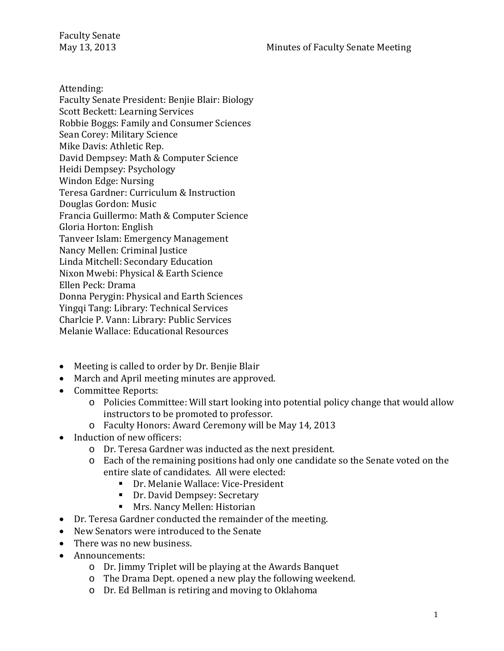Attending:

- Faculty Senate President: Benjie Blair: Biology
- Scott Beckett: Learning Services
- Robbie Boggs: Family and Consumer Sciences
- Sean Corey: Military Science
- Mike Davis: Athletic Rep.
- David Dempsey: Math & Computer Science
- Heidi Dempsey: Psychology
- Windon Edge: Nursing
- Teresa Gardner: Curriculum & Instruction
- Douglas Gordon: Music
- Francia Guillermo: Math & Computer Science
- Gloria Horton: English
- Tanveer Islam: Emergency Management
- Nancy Mellen: Criminal Justice
- Linda Mitchell: Secondary Education
- Nixon Mwebi: Physical & Earth Science
- Ellen Peck: Drama
- Donna Perygin: Physical and Earth Sciences
- Yingqi Tang: Library: Technical Services
- Charlcie P. Vann: Library: Public Services
- Melanie Wallace: Educational Resources
- Meeting is called to order by Dr. Benjie Blair
- March and April meeting minutes are approved.
- Committee Reports:
	- o Policies Committee: Will start looking into potential policy change that would allow instructors to be promoted to professor.
	- o Faculty Honors: Award Ceremony will be May 14, 2013
- Induction of new officers:
	- o Dr. Teresa Gardner was inducted as the next president.
	- o Each of the remaining positions had only one candidate so the Senate voted on the entire slate of candidates. All were elected:
		- Dr. Melanie Wallace: Vice-President
		- **Dr. David Dempsey: Secretary**
		- **Mrs. Nancy Mellen: Historian**
- Dr. Teresa Gardner conducted the remainder of the meeting.
- New Senators were introduced to the Senate
- There was no new business.
- Announcements:
	- o Dr. Jimmy Triplet will be playing at the Awards Banquet
	- o The Drama Dept. opened a new play the following weekend.
	- o Dr. Ed Bellman is retiring and moving to Oklahoma